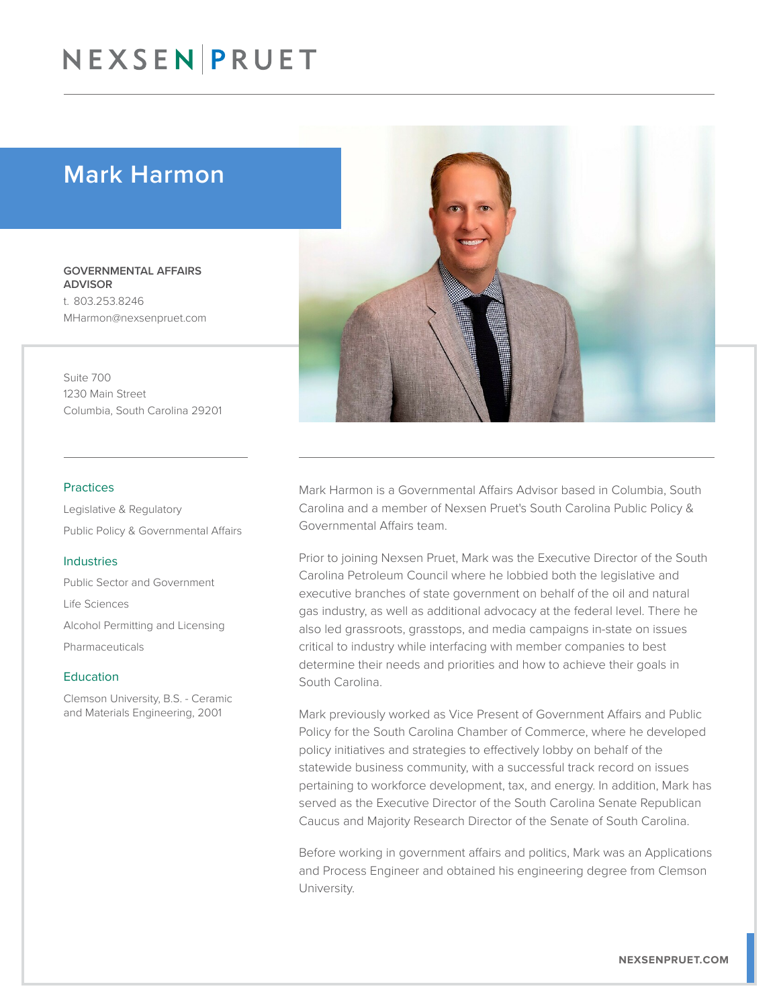## NEXSEN PRUET

### Mark Harmon

GOVERNMENTAL AFFAIRS ADVISOR t. 803.253.8246 MHarmon@nexsenpruet.com

Suite 700 1230 Main Street Columbia, South Carolina 29201

#### Practices

Legislative & Regulatory Public Policy & Governmental Affairs

#### Industries

Public Sector and Government Life Sciences Alcohol Permitting and Licensing Pharmaceuticals

#### Education

Clemson University, B.S. - Ceramic and Materials Engineering, 2001



Mark Harmon is a Governmental Affairs Advisor based in Columbia, South Carolina and a member of Nexsen Pruet's South Carolina Public Policy & Governmental Affairs team.

Prior to joining Nexsen Pruet, Mark was the Executive Director of the South Carolina Petroleum Council where he lobbied both the legislative and executive branches of state government on behalf of the oil and natural gas industry, as well as additional advocacy at the federal level. There he also led grassroots, grasstops, and media campaigns in-state on issues critical to industry while interfacing with member companies to best determine their needs and priorities and how to achieve their goals in South Carolina.

Mark previously worked as Vice Present of Government Affairs and Public Policy for the South Carolina Chamber of Commerce, where he developed policy initiatives and strategies to effectively lobby on behalf of the statewide business community, with a successful track record on issues pertaining to workforce development, tax, and energy. In addition, Mark has served as the Executive Director of the South Carolina Senate Republican Caucus and Majority Research Director of the Senate of South Carolina.

Before working in government affairs and politics, Mark was an Applications and Process Engineer and obtained his engineering degree from Clemson University.